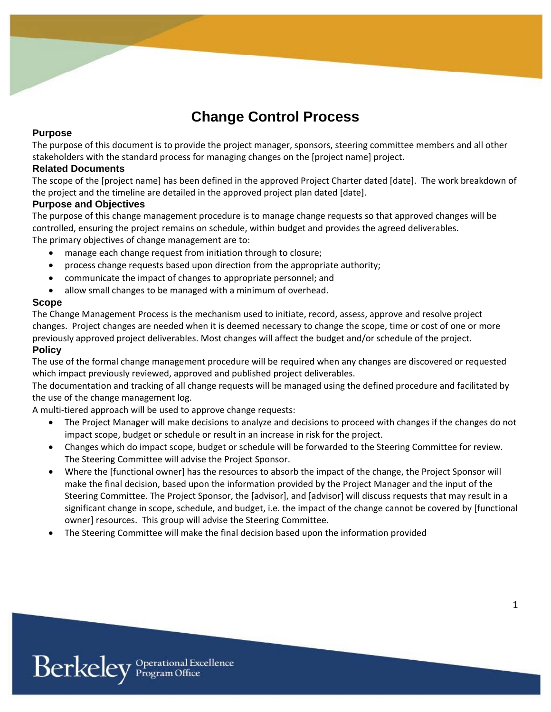# **Change Control Process**

## **Purpose**

The purpose of this document is to provide the project manager, sponsors, steering committee members and all other stakeholders with the standard process for managing changes on the [project name] project.

#### **Related Documents**

The scope of the [project name] has been defined in the approved Project Charter dated [date]. The work breakdown of the project and the timeline are detailed in the approved project plan dated [date].

#### **Purpose and Objectives**

The purpose of this change management procedure is to manage change requests so that approved changes will be controlled, ensuring the project remains on schedule, within budget and provides the agreed deliverables. The primary objectives of change management are to:

- manage each change request from initiation through to closure;
- process change requests based upon direction from the appropriate authority;
- communicate the impact of changes to appropriate personnel; and
- allow small changes to be managed with a minimum of overhead.

#### **Scope**

The Change Management Process is the mechanism used to initiate, record, assess, approve and resolve project changes. Project changes are needed when it is deemed necessary to change the scope, time or cost of one or more previously approved project deliverables. Most changes will affect the budget and/or schedule of the project.

#### **Policy**

The use of the formal change management procedure will be required when any changes are discovered or requested which impact previously reviewed, approved and published project deliverables.

The documentation and tracking of all change requests will be managed using the defined procedure and facilitated by the use of the change management log.

A multi-tiered approach will be used to approve change requests:

- The Project Manager will make decisions to analyze and decisions to proceed with changes if the changes do not impact scope, budget or schedule or result in an increase in risk for the project.
- Changes which do impact scope, budget or schedule will be forwarded to the Steering Committee for review. The Steering Committee will advise the Project Sponsor.
- Where the [functional owner] has the resources to absorb the impact of the change, the Project Sponsor will make the final decision, based upon the information provided by the Project Manager and the input of the Steering Committee. The Project Sponsor, the [advisor], and [advisor] will discuss requests that may result in a significant change in scope, schedule, and budget, i.e. the impact of the change cannot be covered by [functional owner] resources. This group will advise the Steering Committee.
- The Steering Committee will make the final decision based upon the information provided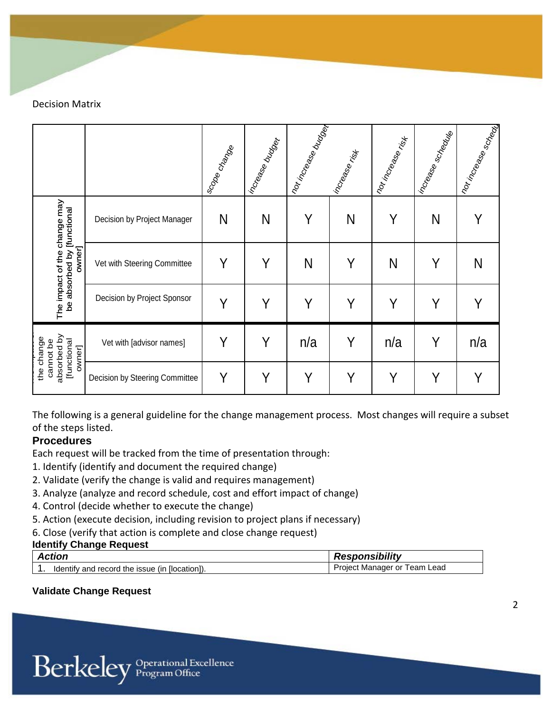Decision Matrix

|                                                                    |                                | Iso <sub>pe Change</sub> | Increase budget | nor increase burget | Increase risk | Torinoese<br>Kingage | I increases scrience | <b>Individual Manufacture</b> |
|--------------------------------------------------------------------|--------------------------------|--------------------------|-----------------|---------------------|---------------|----------------------|----------------------|-------------------------------|
| The impact of the change may                                       | Decision by Project Manager    | N                        | N               | Y                   | N             | Y                    | N                    |                               |
| be absorbed by [functional<br>owner]                               | Vet with Steering Committee    | Υ                        | Y               | N                   | Y             | N                    | Υ                    | N                             |
|                                                                    | Decision by Project Sponsor    | Y                        | Y               | Y                   | Y             | Y                    | Υ                    |                               |
| absorbed by<br>change<br><b>[functional</b><br>cannot be<br>owner] | Vet with [advisor names]       | Y                        | Y               | n/a                 | Y             | n/a                  | Υ                    | n/a                           |
| the                                                                | Decision by Steering Committee | Y                        | Y               | Υ                   | Υ             | Y                    | Y                    | Υ                             |

The following is a general guideline for the change management process. Most changes will require a subset of the steps listed.

# **Procedures**

Each request will be tracked from the time of presentation through:

- 1. Identify (identify and document the required change)
- 2. Validate (verify the change is valid and requires management)
- 3. Analyze (analyze and record schedule, cost and effort impact of change)
- 4. Control (decide whether to execute the change)
- 5. Action (execute decision, including revision to project plans if necessary)
- 6. Close (verify that action is complete and close change request)

# **Identify Change Request**

| <b>Action</b>                                       | <b>Responsibility</b>                 |  |  |
|-----------------------------------------------------|---------------------------------------|--|--|
| ↑ [location]).<br>Identify and record the issue (in | Project<br>Lead<br>Team<br>Manager or |  |  |

# **Validate Change Request**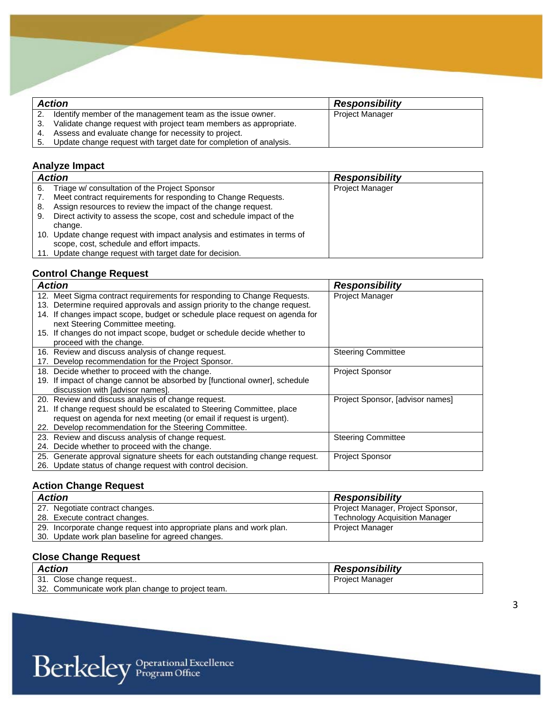|      | <b>Action</b>                                                      | <b>Responsibility</b>  |
|------|--------------------------------------------------------------------|------------------------|
|      | Identify member of the management team as the issue owner.         | <b>Project Manager</b> |
| - 3. | Validate change request with project team members as appropriate.  |                        |
| 4.   | Assess and evaluate change for necessity to project.               |                        |
| -5.  | Update change request with target date for completion of analysis. |                        |

# **Analyze Impact**

|    | <b>Action</b>                                                            | <b>Responsibility</b>  |
|----|--------------------------------------------------------------------------|------------------------|
| 6. | Triage w/ consultation of the Project Sponsor                            | <b>Project Manager</b> |
|    | Meet contract requirements for responding to Change Requests.            |                        |
| 8. | Assign resources to review the impact of the change request.             |                        |
| 9. | Direct activity to assess the scope, cost and schedule impact of the     |                        |
|    | change.                                                                  |                        |
|    | 10. Update change request with impact analysis and estimates in terms of |                        |
|    | scope, cost, schedule and effort impacts.                                |                        |
|    | 11. Update change request with target date for decision.                 |                        |

#### **Control Change Request**

| <b>Action</b>                                                                  | <b>Responsibility</b>            |
|--------------------------------------------------------------------------------|----------------------------------|
| 12. Meet Sigma contract requirements for responding to Change Requests.        | <b>Project Manager</b>           |
| Determine required approvals and assign priority to the change request.<br>13. |                                  |
| 14. If changes impact scope, budget or schedule place request on agenda for    |                                  |
| next Steering Committee meeting.                                               |                                  |
| 15. If changes do not impact scope, budget or schedule decide whether to       |                                  |
| proceed with the change.                                                       |                                  |
| 16. Review and discuss analysis of change request.                             | <b>Steering Committee</b>        |
| Develop recommendation for the Project Sponsor.<br>17.                         |                                  |
| 18. Decide whether to proceed with the change.                                 | <b>Project Sponsor</b>           |
| If impact of change cannot be absorbed by [functional owner], schedule<br>19.  |                                  |
| discussion with [advisor names].                                               |                                  |
| 20. Review and discuss analysis of change request.                             | Project Sponsor, [advisor names] |
| 21. If change request should be escalated to Steering Committee, place         |                                  |
| request on agenda for next meeting (or email if request is urgent).            |                                  |
| 22. Develop recommendation for the Steering Committee.                         |                                  |
| 23. Review and discuss analysis of change request.                             | <b>Steering Committee</b>        |
| 24. Decide whether to proceed with the change.                                 |                                  |
| 25. Generate approval signature sheets for each outstanding change request.    | <b>Project Sponsor</b>           |
| 26. Update status of change request with control decision.                     |                                  |

# **Action Change Request**

| <b>Action</b>                                                        | <b>Responsibility</b>                 |
|----------------------------------------------------------------------|---------------------------------------|
| 27. Negotiate contract changes.                                      | Project Manager, Project Sponsor,     |
| 28. Execute contract changes.                                        | <b>Technology Acquisition Manager</b> |
| 29. Incorporate change request into appropriate plans and work plan. | <b>Project Manager</b>                |
| 30. Update work plan baseline for agreed changes.                    |                                       |

## **Close Change Request**

| <b>Action</b>                                           | <b>Responsibility</b>  |
|---------------------------------------------------------|------------------------|
| 31. Close change request                                | <b>Project Manager</b> |
| -32.<br>. Communicate work plan change to project team. |                        |